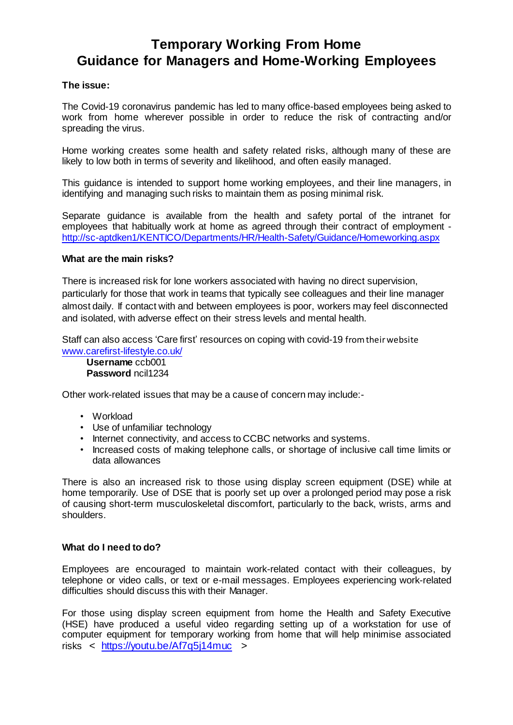## **Temporary Working From Home Guidance for Managers and Home-Working Employees**

## **The issue:**

The Covid-19 coronavirus pandemic has led to many office-based employees being asked to work from home wherever possible in order to reduce the risk of contracting and/or spreading the virus.

Home working creates some health and safety related risks, although many of these are likely to low both in terms of severity and likelihood, and often easily managed.

This guidance is intended to support home working employees, and their line managers, in identifying and managing such risks to maintain them as posing minimal risk.

Separate guidance is available from the health and safety portal of the intranet for employees that habitually work at home as agreed through their contract of employment <http://sc-aptdken1/KENTICO/Departments/HR/Health-Safety/Guidance/Homeworking.aspx>

## **What are the main risks?**

There is increased risk for lone workers associated with having no direct supervision, particularly for those that work in teams that typically see colleagues and their line manager almost daily. If contact with and between employees is poor, workers may feel disconnected and isolated, with adverse effect on their stress levels and mental health.

Staff can also access 'Care first' resources on coping with covid-19 from their website [www.carefirst-lifestyle.co.uk/](http://www.carefirst-lifestyle.co.uk/)

**Username** ccb001 **Password** ncil1234

Other work-related issues that may be a cause of concern may include:-

- Workload
- Use of unfamiliar technology
- Internet connectivity, and access to CCBC networks and systems.
- Increased costs of making telephone calls, or shortage of inclusive call time limits or data allowances

There is also an increased risk to those using display screen equipment (DSE) while at home temporarily. Use of DSE that is poorly set up over a prolonged period may pose a risk of causing short-term musculoskeletal discomfort, particularly to the back, wrists, arms and shoulders.

## **What do I need to do?**

Employees are encouraged to maintain work-related contact with their colleagues, by telephone or video calls, or text or e-mail messages. Employees experiencing work-related difficulties should discuss this with their Manager.

For those using display screen equipment from home the Health and Safety Executive (HSE) have produced a useful video regarding setting up of a workstation for use of computer equipment for temporary working from home that will help minimise associated risks < <https://youtu.be/Af7q5j14muc> >